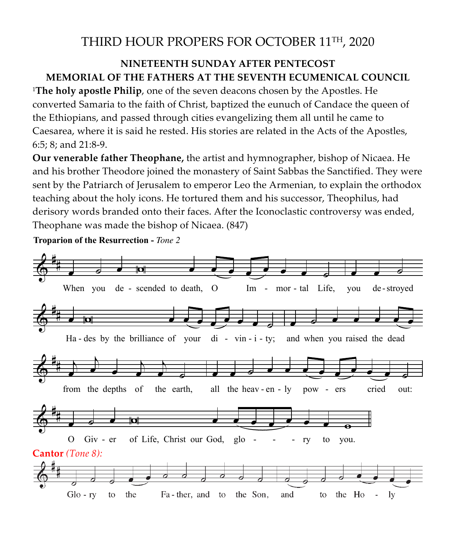## THIRD HOUR PROPERS FOR OCTOBER 11TH, 2020

## **NINETEENTH SUNDAY AFTER PENTECOST MEMORIAL OF THE FATHERS AT THE SEVENTH ECUMENICAL COUNCIL**

<sup>1</sup>**The holy apostle Philip**, one of the seven deacons chosen by the Apostles. He converted Samaria to the faith of Christ, baptized the eunuch of Candace the queen of the Ethiopians, and passed through cities evangelizing them all until he came to Caesarea, where it is said he rested. His stories are related in the Acts of the Apostles, 6:5; 8; and 21:8-9.

**Our venerable father Theophane,** the artist and hymnographer, bishop of Nicaea. He and his brother Theodore joined the monastery of Saint Sabbas the Sanctified. They were sent by the Patriarch of Jerusalem to emperor Leo the Armenian, to explain the orthodox teaching about the holy icons. He tortured them and his successor, Theophilus, had derisory words branded onto their faces. After the Iconoclastic controversy was ended, Theophane was made the bishop of Nicaea. (847)

**Troparion of the Resurrection -** *Tone 2*

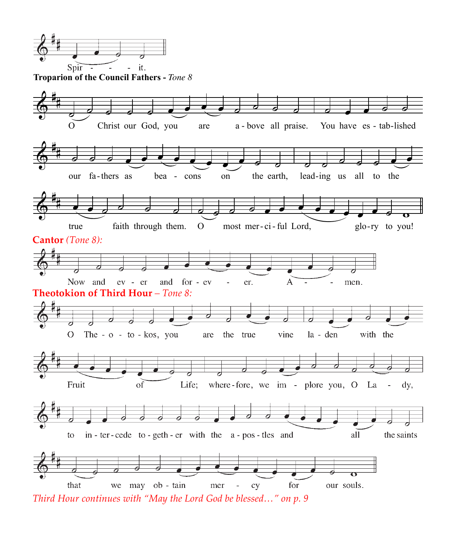

**Troparion of the Council Fathers -** *Tone 8*